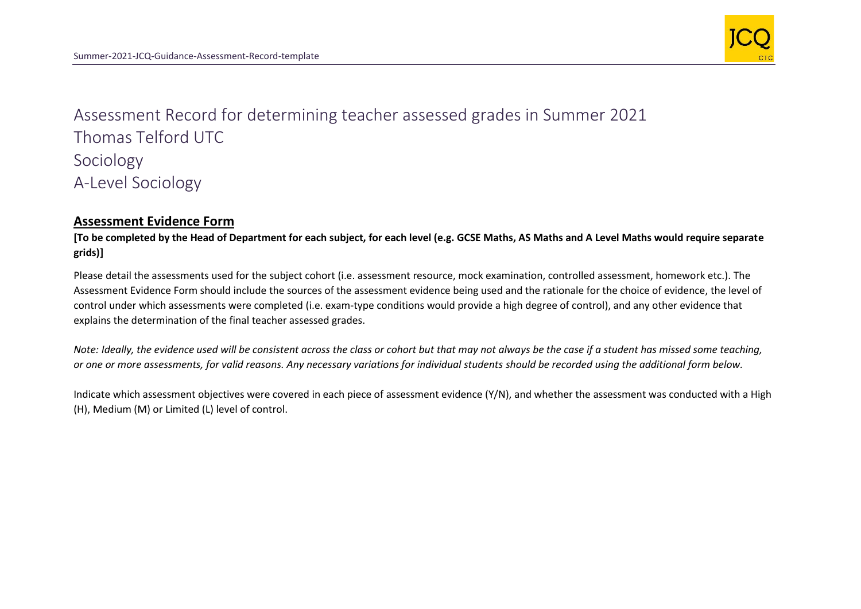

Assessment Record for determining teacher assessed grades in Summer 2021 Thomas Telford UTC Sociology A-Level Sociology

## **Assessment Evidence Form**

**[To be completed by the Head of Department for each subject, for each level (e.g. GCSE Maths, AS Maths and A Level Maths would require separate grids)]**

Please detail the assessments used for the subject cohort (i.e. assessment resource, mock examination, controlled assessment, homework etc.). The Assessment Evidence Form should include the sources of the assessment evidence being used and the rationale for the choice of evidence, the level of control under which assessments were completed (i.e. exam-type conditions would provide a high degree of control), and any other evidence that explains the determination of the final teacher assessed grades.

*Note: Ideally, the evidence used will be consistent across the class or cohort but that may not always be the case if a student has missed some teaching, or one or more assessments, for valid reasons. Any necessary variations for individual students should be recorded using the additional form below.* 

Indicate which assessment objectives were covered in each piece of assessment evidence (Y/N), and whether the assessment was conducted with a High (H), Medium (M) or Limited (L) level of control.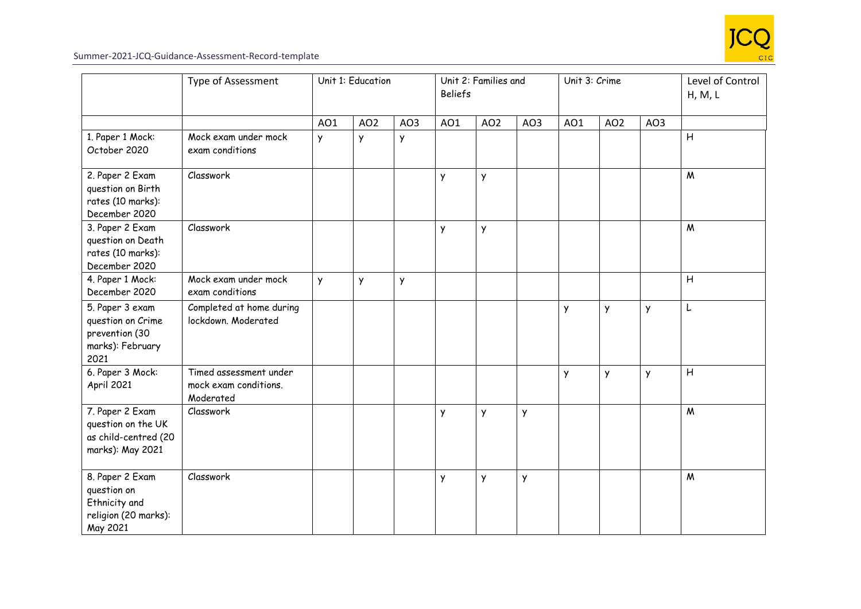

|                                                                                     | Type of Assessment                                           | Unit 1: Education |                 |     | Unit 2: Families and<br><b>Beliefs</b> |                 |     | Unit 3: Crime |                 |     | Level of Control<br>H, M, L |
|-------------------------------------------------------------------------------------|--------------------------------------------------------------|-------------------|-----------------|-----|----------------------------------------|-----------------|-----|---------------|-----------------|-----|-----------------------------|
|                                                                                     |                                                              | AO1               | AO <sub>2</sub> | AO3 | AO1                                    | AO <sub>2</sub> | AO3 | AO1           | AO <sub>2</sub> | AO3 |                             |
| 1. Paper 1 Mock:<br>October 2020                                                    | Mock exam under mock<br>exam conditions                      | Y                 | y               | y   |                                        |                 |     |               |                 |     | $\overline{H}$              |
| 2. Paper 2 Exam<br>question on Birth<br>rates (10 marks):<br>December 2020          | Classwork                                                    |                   |                 |     | Y                                      | Y               |     |               |                 |     | M                           |
| 3. Paper 2 Exam<br>question on Death<br>rates (10 marks):<br>December 2020          | Classwork                                                    |                   |                 |     | Y                                      | Y               |     |               |                 |     | M                           |
| 4. Paper 1 Mock:<br>December 2020                                                   | Mock exam under mock<br>exam conditions                      | y                 | y               | Y   |                                        |                 |     |               |                 |     | H                           |
| 5. Paper 3 exam<br>question on Crime<br>prevention (30<br>marks): February<br>2021  | Completed at home during<br>lockdown. Moderated              |                   |                 |     |                                        |                 |     | Y             | Y               | y   | L                           |
| 6. Paper 3 Mock:<br>April 2021                                                      | Timed assessment under<br>mock exam conditions.<br>Moderated |                   |                 |     |                                        |                 |     | y             | Y               | Y   | H                           |
| 7. Paper 2 Exam<br>question on the UK<br>as child-centred (20<br>marks): May 2021   | Classwork                                                    |                   |                 |     | Y                                      | Y               | Y   |               |                 |     | $\boldsymbol{M}$            |
| 8. Paper 2 Exam<br>question on<br>Ethnicity and<br>religion (20 marks):<br>May 2021 | Classwork                                                    |                   |                 |     | Y                                      | y               | Y   |               |                 |     | $\mathsf{M}$                |